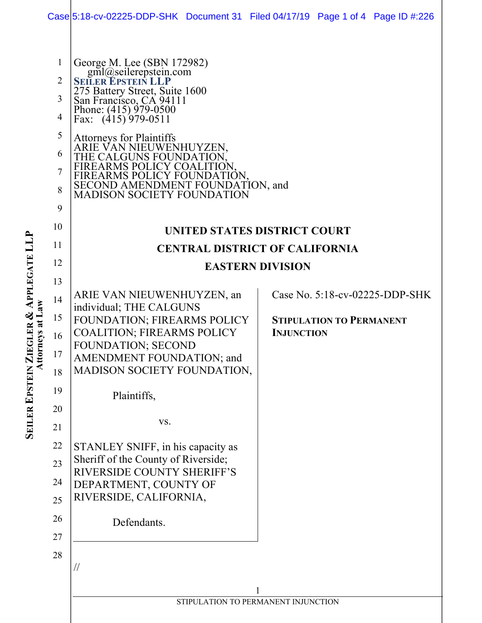|                                                              | Case 5:18-cv-02225-DDP-SHK Document 31 Filed 04/17/19 Page 1 of 4 Page ID #:226                                                                                                                                                                                                                                                                                                                     |  |                   |                                 |                                |
|--------------------------------------------------------------|-----------------------------------------------------------------------------------------------------------------------------------------------------------------------------------------------------------------------------------------------------------------------------------------------------------------------------------------------------------------------------------------------------|--|-------------------|---------------------------------|--------------------------------|
| 1<br>2<br>3<br>$\overline{4}$<br>5<br>6<br>7<br>8<br>9<br>10 | George M. Lee (SBN 172982)<br>gml@seilerepstein.com<br>SEILER EPSTEIN LLP<br>275 Battery Street, Suite 1600<br>San Francisco, CA 94111<br>Phone: (415) 979-0500<br>Fax: (415) 979-0511<br><b>Attorneys for Plaintiffs</b><br>ARIE VAN NIEUWENHUYZEN,<br>THE CALGUNS FOUNDA<br>FIREARMS POLICY COAL<br>FIREARMS POLICY FOUNDATION,<br>SECOND AMENDMENT FOUNDATION, and<br>MADISON SOCIETY FOUNDATION |  |                   |                                 |                                |
| 11                                                           | UNITED STATES DISTRICT COURT                                                                                                                                                                                                                                                                                                                                                                        |  |                   |                                 |                                |
| 12                                                           | <b>CENTRAL DISTRICT OF CALIFORNIA</b>                                                                                                                                                                                                                                                                                                                                                               |  |                   |                                 |                                |
| 13                                                           | <b>EASTERN DIVISION</b>                                                                                                                                                                                                                                                                                                                                                                             |  |                   |                                 |                                |
| 14<br>15<br>16<br>17<br>18                                   | ARIE VAN NIEUWENHUYZEN, an<br>individual; THE CALGUNS<br>FOUNDATION; FIREARMS POLICY<br><b>COALITION; FIREARMS POLICY</b><br><b>FOUNDATION; SECOND</b><br>AMENDMENT FOUNDATION; and<br>MADISON SOCIETY FOUNDATION,                                                                                                                                                                                  |  | <b>INJUNCTION</b> | <b>STIPULATION TO PERMANENT</b> | Case No. 5:18-cv-02225-DDP-SHK |
| 19                                                           | Plaintiffs,                                                                                                                                                                                                                                                                                                                                                                                         |  |                   |                                 |                                |
| 20<br>21                                                     | VS.                                                                                                                                                                                                                                                                                                                                                                                                 |  |                   |                                 |                                |
| 22<br>23<br>24<br>25                                         | STANLEY SNIFF, in his capacity as<br>Sheriff of the County of Riverside;<br>RIVERSIDE COUNTY SHERIFF'S<br>DEPARTMENT, COUNTY OF<br>RIVERSIDE, CALIFORNIA,                                                                                                                                                                                                                                           |  |                   |                                 |                                |
| 26                                                           | Defendants.                                                                                                                                                                                                                                                                                                                                                                                         |  |                   |                                 |                                |
| 27                                                           |                                                                                                                                                                                                                                                                                                                                                                                                     |  |                   |                                 |                                |
| 28                                                           | $\frac{1}{2}$                                                                                                                                                                                                                                                                                                                                                                                       |  |                   |                                 |                                |
|                                                              | STIPULATION TO PERMANENT INJUNCTION                                                                                                                                                                                                                                                                                                                                                                 |  |                   |                                 |                                |
|                                                              |                                                                                                                                                                                                                                                                                                                                                                                                     |  |                   |                                 |                                |

**SEIL ER EPSTEIN ZIEGLER & APPLEGATE LLP Attorneys at Law**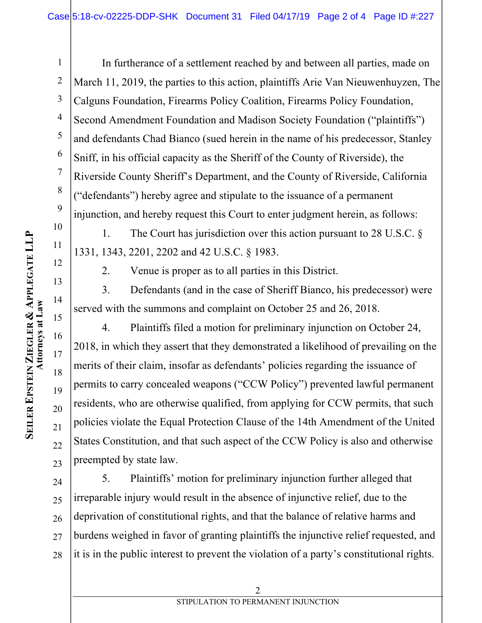1 2 3 4 5 6 7 8 9 In furtherance of a settlement reached by and between all parties, made on March 11, 2019, the parties to this action, plaintiffs Arie Van Nieuwenhuyzen, The Calguns Foundation, Firearms Policy Coalition, Firearms Policy Foundation, Second Amendment Foundation and Madison Society Foundation ("plaintiffs") and defendants Chad Bianco (sued herein in the name of his predecessor, Stanley Sniff, in his official capacity as the Sheriff of the County of Riverside), the Riverside County Sheriff's Department, and the County of Riverside, California ("defendants") hereby agree and stipulate to the issuance of a permanent injunction, and hereby request this Court to enter judgment herein, as follows:

1. The Court has jurisdiction over this action pursuant to 28 U.S.C. § 1331, 1343, 2201, 2202 and 42 U.S.C. § 1983.

2. Venue is proper as to all parties in this District.

3. Defendants (and in the case of Sheriff Bianco, his predecessor) were served with the summons and complaint on October 25 and 26, 2018.

4. Plaintiffs filed a motion for preliminary injunction on October 24, 2018, in which they assert that they demonstrated a likelihood of prevailing on the merits of their claim, insofar as defendants' policies regarding the issuance of permits to carry concealed weapons ("CCW Policy") prevented lawful permanent residents, who are otherwise qualified, from applying for CCW permits, that such policies violate the Equal Protection Clause of the 14th Amendment of the United States Constitution, and that such aspect of the CCW Policy is also and otherwise preempted by state law.

24 25 26 27 28 5. Plaintiffs' motion for preliminary injunction further alleged that irreparable injury would result in the absence of injunctive relief, due to the deprivation of constitutional rights, and that the balance of relative harms and burdens weighed in favor of granting plaintiffs the injunctive relief requested, and it is in the public interest to prevent the violation of a party's constitutional rights.

10

11

12

13

14

15

16

17

18

19

20

21

22

23

2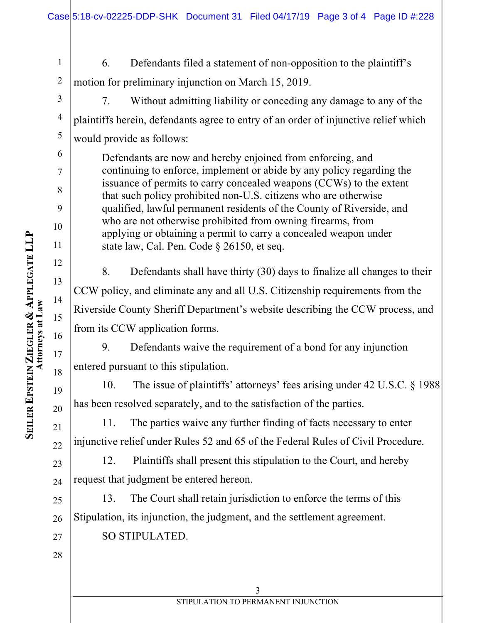1 2 6. Defendants filed a statement of non-opposition to the plaintiff's motion for preliminary injunction on March 15, 2019.

3

4

5

6

7

8

9

10

11

12

13

14

15

16

17

18

19

20

21

22

23

24

7. Without admitting liability or conceding any damage to any of the plaintiffs herein, defendants agree to entry of an order of injunctive relief which would provide as follows:

Defendants are now and hereby enjoined from enforcing, and continuing to enforce, implement or abide by any policy regarding the issuance of permits to carry concealed weapons (CCWs) to the extent that such policy prohibited non-U.S. citizens who are otherwise qualified, lawful permanent residents of the County of Riverside, and who are not otherwise prohibited from owning firearms, from applying or obtaining a permit to carry a concealed weapon under state law, Cal. Pen. Code § 26150, et seq.

8. Defendants shall have thirty (30) days to finalize all changes to their CCW policy, and eliminate any and all U.S. Citizenship requirements from the Riverside County Sheriff Department's website describing the CCW process, and from its CCW application forms.

9. Defendants waive the requirement of a bond for any injunction entered pursuant to this stipulation.

10. The issue of plaintiffs' attorneys' fees arising under 42 U.S.C. § 1988 has been resolved separately, and to the satisfaction of the parties.

11. The parties waive any further finding of facts necessary to enter injunctive relief under Rules 52 and 65 of the Federal Rules of Civil Procedure.

12. Plaintiffs shall present this stipulation to the Court, and hereby request that judgment be entered hereon.

25 27 13. The Court shall retain jurisdiction to enforce the terms of this Stipulation, its injunction, the judgment, and the settlement agreement. SO STIPULATED.

Attorneys at Law **Attorneys at Law ZIEGLER EPSTEIN ER SEIL**

**&**

**APPLEGATE LLP**

26

28